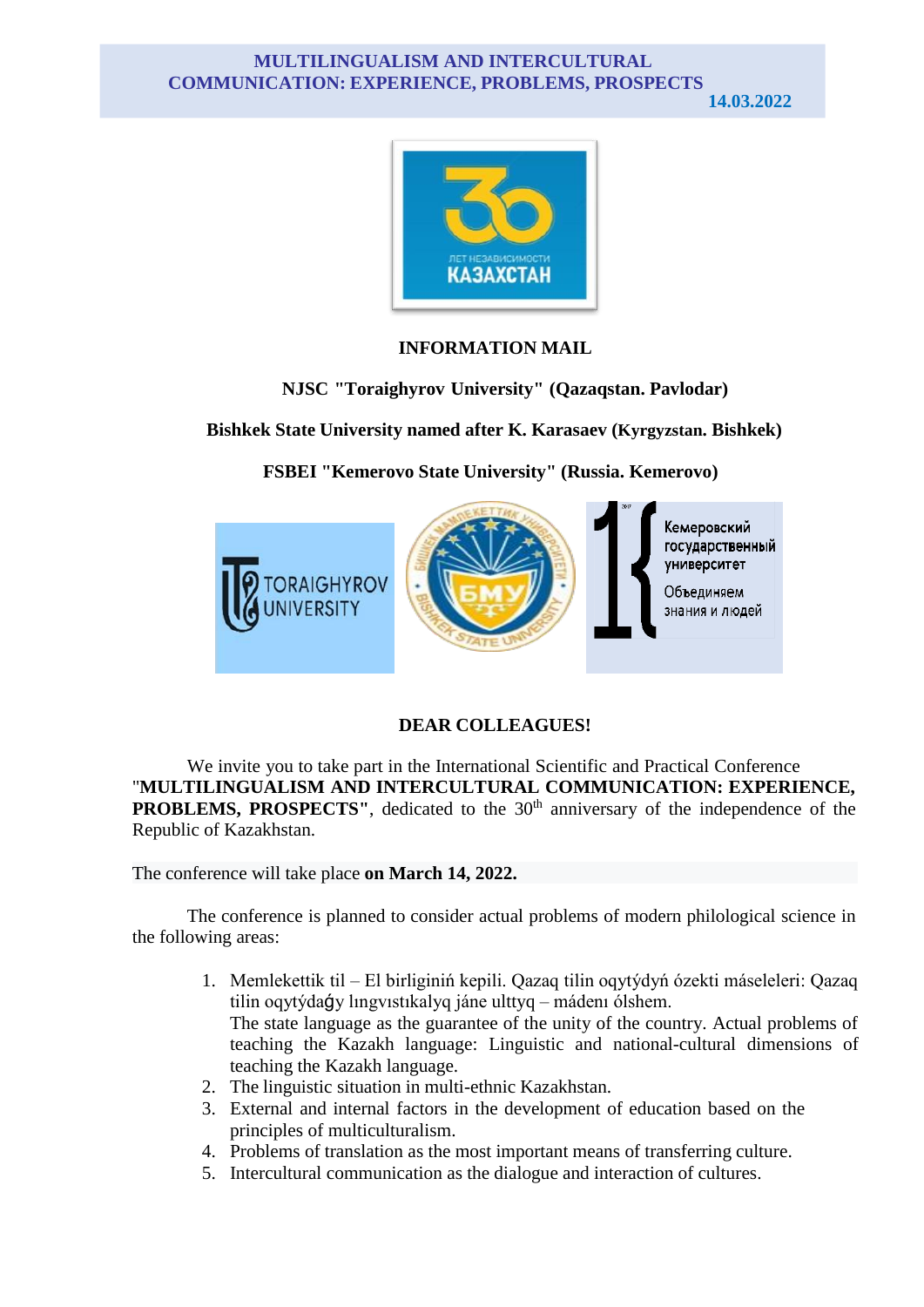## **MULTILINGUALISM AND INTERCULTURAL COMMUNICATION: EXPERIENCE, PROBLEMS, PROSPECTS**

**14.03.2022**



## **INFORMATION MAIL**

**NJSC "Toraighyrov University" (Qazaqstan. Pavlodar)**

**Bishkek State University named after K. Karasaev (Kyrgyzstan. Bishkek)**

**FSBEI "Kemerovo State University" (Russia. Kemerovo)**



## **DEAR COLLEAGUES!**

We invite you to take part in the International Scientific and Practical Conference "**MULTILINGUALISM AND INTERCULTURAL COMMUNICATION: EXPERIENCE, PROBLEMS, PROSPECTS"**, dedicated to the 30<sup>th</sup> anniversary of the independence of the Republic of Kazakhstan.

The conference will take place **on March 14, 2022.**

The conference is planned to consider actual problems of modern philological science in the following areas:

- 1. Memlekettіk tіl El bіrlіgіnіń kepіlі. Qazaq tіlіn oqytýdyń ózektі máselelerі: Qazaq tіlіn oqytýdaǵy lıngvıstıkalyq jáne ulttyq – mádenı ólshem. The state language as the guarantee of the unity of the country. Actual problems of teaching the Kazakh language: Linguistic and national-cultural dimensions of teaching the Kazakh language.
- 2. The linguistic situation in multi-ethnic Kazakhstan.
- 3. External and internal factors in the development of education based on the principles of multiculturalism.
- 4. Problems of translation as the most important means of transferring culture.
- 5. Intercultural communication as the dialogue and interaction of cultures.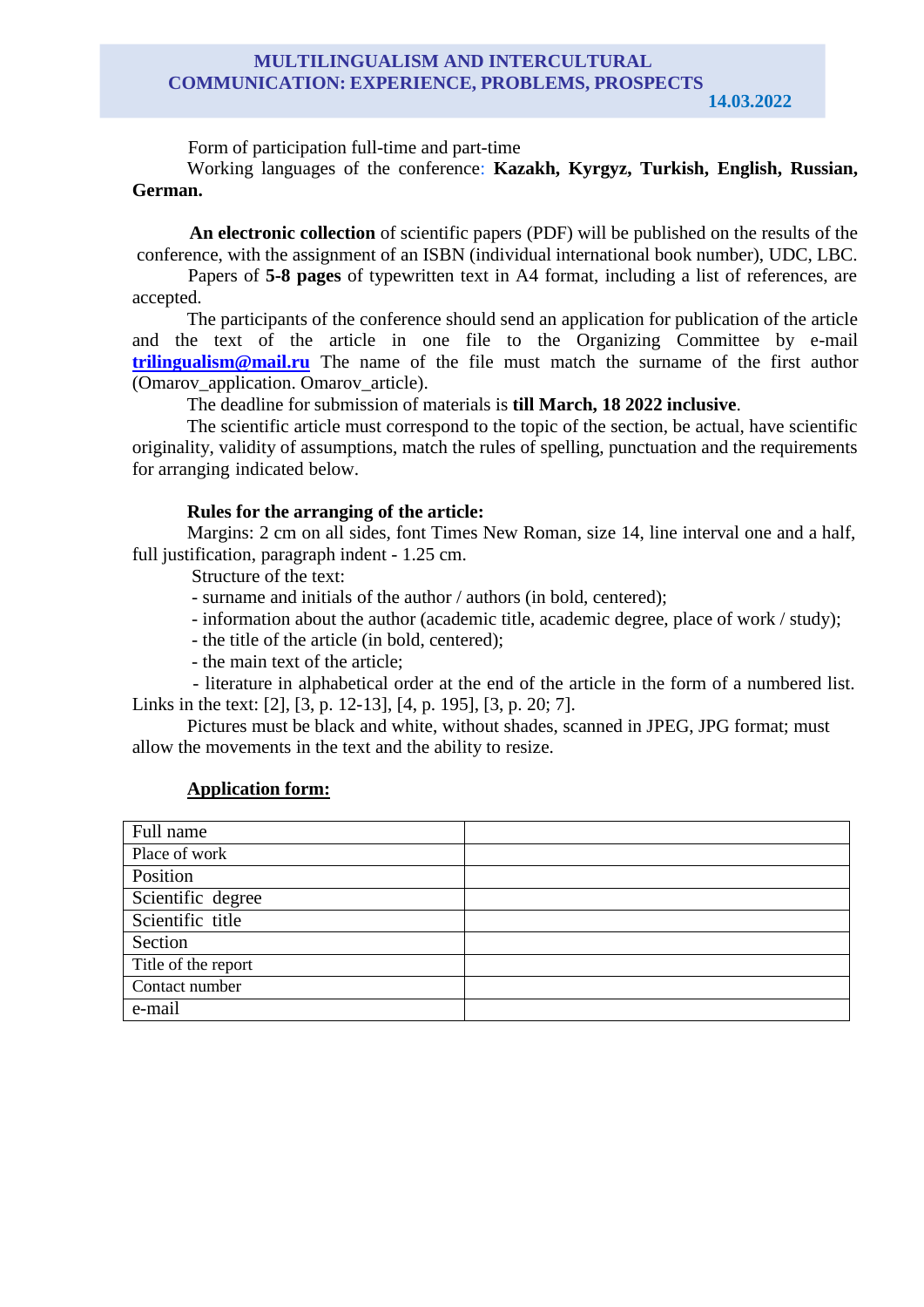## **MULTILINGUALISM AND INTERCULTURAL COMMUNICATION: EXPERIENCE, PROBLEMS, PROSPECTS**

**14.03.2022**

Form of participation full-time and part-time

Working languages of the conference: **Kazakh, Kyrgyz, Turkish, English, Russian, German.**

**An electronic collection** of scientific papers (PDF) will be published on the results of the conference, with the assignment of an ISBN (individual international book number), UDC, LBC.

Papers of **5-8 pages** of typewritten text in A4 format, including a list of references, are accepted.

The participants of the conference should send an application for publication of the article and the text of the article in one file to the Organizing Committee by e-mail **[trilingualism@mail.ru](mailto:trilingualism@mail.ru)** The name of the file must match the surname of the first author (Omarov\_application. Omarov\_article).

The deadline for submission of materials is **till March, 18 2022 inclusive**.

The scientific article must correspond to the topic of the section, be actual, have scientific originality, validity of assumptions, match the rules of spelling, punctuation and the requirements for arranging indicated below.

# **Rules for the arranging of the article:**

Margins: 2 cm on all sides, font Times New Roman, size 14, line interval one and a half, full justification, paragraph indent - 1.25 cm.

Structure of the text:

- surname and initials of the author / authors (in bold, centered);

- information about the author (academic title, academic degree, place of work / study);

- the title of the article (in bold, centered);

- the main text of the article;

- literature in alphabetical order at the end of the article in the form of a numbered list. Links in the text: [2], [3, p. 12-13], [4, p. 195], [3, p. 20; 7].

Pictures must be black and white, without shades, scanned in JPEG, JPG format; must allow the movements in the text and the ability to resize.

# **Application form:**

| Full name           |  |
|---------------------|--|
| Place of work       |  |
| Position            |  |
| Scientific degree   |  |
| Scientific title    |  |
| Section             |  |
| Title of the report |  |
| Contact number      |  |
| e-mail              |  |